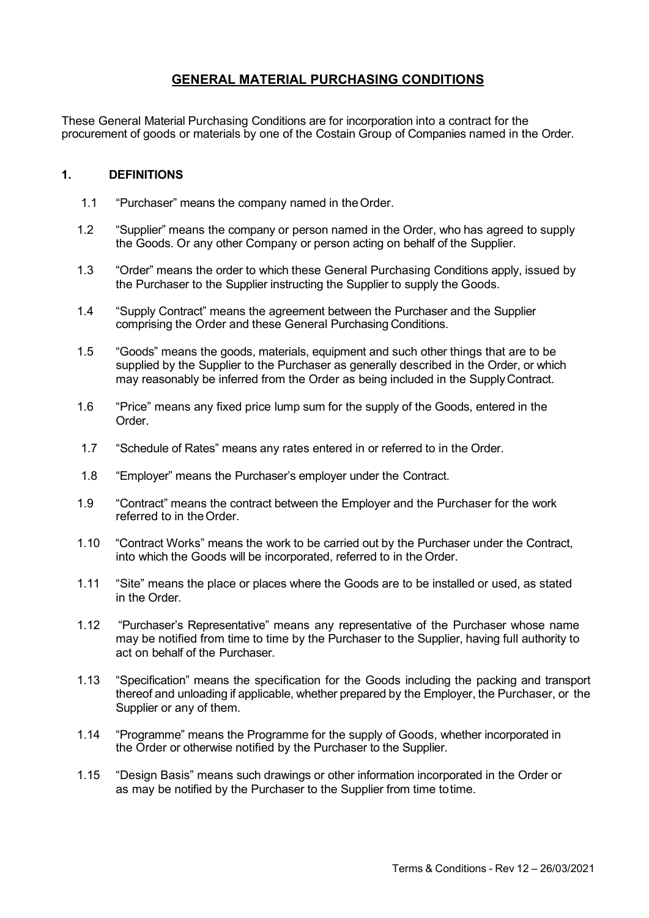# GENERAL MATERIAL PURCHASING CONDITIONS

These General Material Purchasing Conditions are for incorporation into a contract for the procurement of goods or materials by one of the Costain Group of Companies named in the Order.

## 1. DEFINITIONS

- 1.1 "Purchaser" means the company named in the Order.
- 1.2 "Supplier" means the company or person named in the Order, who has agreed to supply the Goods. Or any other Company or person acting on behalf of the Supplier.
- 1.3 "Order" means the order to which these General Purchasing Conditions apply, issued by the Purchaser to the Supplier instructing the Supplier to supply the Goods.
- 1.4 "Supply Contract" means the agreement between the Purchaser and the Supplier comprising the Order and these General Purchasing Conditions.
- 1.5 "Goods" means the goods, materials, equipment and such other things that are to be supplied by the Supplier to the Purchaser as generally described in the Order, or which may reasonably be inferred from the Order as being included in the Supply Contract.
- 1.6 "Price" means any fixed price lump sum for the supply of the Goods, entered in the **Order**
- 1.7 "Schedule of Rates" means any rates entered in or referred to in the Order.
- 1.8 "Employer" means the Purchaser's employer under the Contract.
- 1.9 "Contract" means the contract between the Employer and the Purchaser for the work referred to in the Order.
- 1.10 "Contract Works" means the work to be carried out by the Purchaser under the Contract, into which the Goods will be incorporated, referred to in the Order.
- 1.11 "Site" means the place or places where the Goods are to be installed or used, as stated in the Order.
- 1.12 "Purchaser's Representative" means any representative of the Purchaser whose name may be notified from time to time by the Purchaser to the Supplier, having full authority to act on behalf of the Purchaser.
- 1.13 "Specification" means the specification for the Goods including the packing and transport thereof and unloading if applicable, whether prepared by the Employer, the Purchaser, or the Supplier or any of them.
- 1.14 "Programme" means the Programme for the supply of Goods, whether incorporated in the Order or otherwise notified by the Purchaser to the Supplier.
- 1.15 "Design Basis" means such drawings or other information incorporated in the Order or as may be notified by the Purchaser to the Supplier from time to time.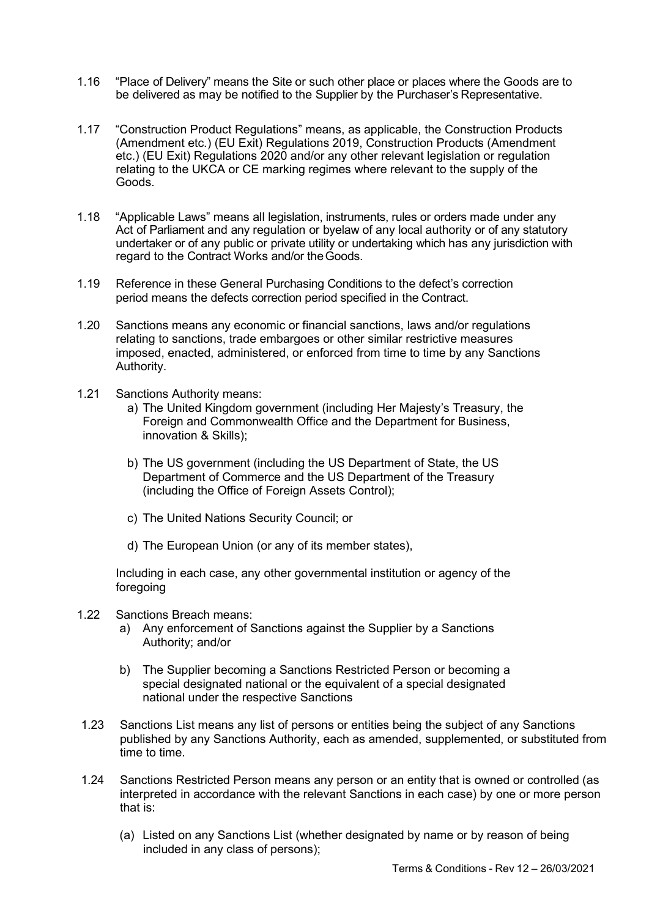- 1.16 "Place of Delivery" means the Site or such other place or places where the Goods are to be delivered as may be notified to the Supplier by the Purchaser's Representative.
- 1.17 "Construction Product Regulations" means, as applicable, the Construction Products (Amendment etc.) (EU Exit) Regulations 2019, Construction Products (Amendment etc.) (EU Exit) Regulations 2020 and/or any other relevant legislation or regulation relating to the UKCA or CE marking regimes where relevant to the supply of the Goods.
- 1.18 "Applicable Laws" means all legislation, instruments, rules or orders made under any Act of Parliament and any regulation or byelaw of any local authority or of any statutory undertaker or of any public or private utility or undertaking which has any jurisdiction with regard to the Contract Works and/or the Goods.
- 1.19 Reference in these General Purchasing Conditions to the defect's correction period means the defects correction period specified in the Contract.
- 1.20 Sanctions means any economic or financial sanctions, laws and/or regulations relating to sanctions, trade embargoes or other similar restrictive measures imposed, enacted, administered, or enforced from time to time by any Sanctions Authority.
- 1.21 Sanctions Authority means:
	- a) The United Kingdom government (including Her Majesty's Treasury, the Foreign and Commonwealth Office and the Department for Business, innovation & Skills);
	- b) The US government (including the US Department of State, the US Department of Commerce and the US Department of the Treasury (including the Office of Foreign Assets Control);
	- c) The United Nations Security Council; or
	- d) The European Union (or any of its member states),

Including in each case, any other governmental institution or agency of the foregoing

- 1.22 Sanctions Breach means:
	- a) Any enforcement of Sanctions against the Supplier by a Sanctions Authority; and/or
	- b) The Supplier becoming a Sanctions Restricted Person or becoming a special designated national or the equivalent of a special designated national under the respective Sanctions
- 1.23 Sanctions List means any list of persons or entities being the subject of any Sanctions published by any Sanctions Authority, each as amended, supplemented, or substituted from time to time.
- 1.24 Sanctions Restricted Person means any person or an entity that is owned or controlled (as interpreted in accordance with the relevant Sanctions in each case) by one or more person that is:
	- (a) Listed on any Sanctions List (whether designated by name or by reason of being included in any class of persons);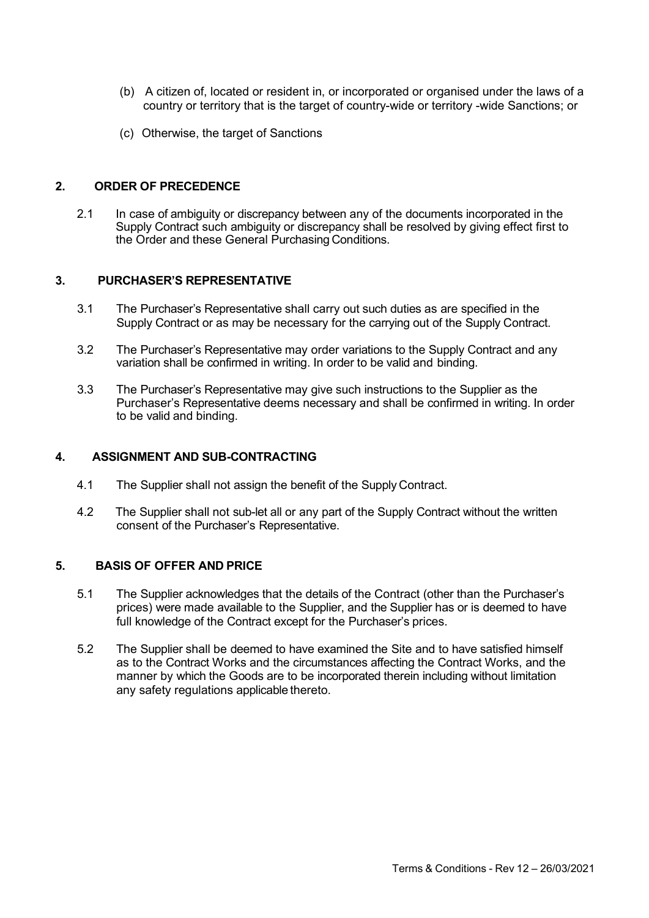- (b) A citizen of, located or resident in, or incorporated or organised under the laws of a country or territory that is the target of country-wide or territory -wide Sanctions; or
- (c) Otherwise, the target of Sanctions

## 2. ORDER OF PRECEDENCE

2.1 In case of ambiguity or discrepancy between any of the documents incorporated in the Supply Contract such ambiguity or discrepancy shall be resolved by giving effect first to the Order and these General Purchasing Conditions.

## 3. PURCHASER'S REPRESENTATIVE

- 3.1 The Purchaser's Representative shall carry out such duties as are specified in the Supply Contract or as may be necessary for the carrying out of the Supply Contract.
- 3.2 The Purchaser's Representative may order variations to the Supply Contract and any variation shall be confirmed in writing. In order to be valid and binding.
- 3.3 The Purchaser's Representative may give such instructions to the Supplier as the Purchaser's Representative deems necessary and shall be confirmed in writing. In order to be valid and binding.

### 4. ASSIGNMENT AND SUB-CONTRACTING

- 4.1 The Supplier shall not assign the benefit of the Supply Contract.
- 4.2 The Supplier shall not sub-let all or any part of the Supply Contract without the written consent of the Purchaser's Representative.

# 5. BASIS OF OFFER AND PRICE

- 5.1 The Supplier acknowledges that the details of the Contract (other than the Purchaser's prices) were made available to the Supplier, and the Supplier has or is deemed to have full knowledge of the Contract except for the Purchaser's prices.
- 5.2 The Supplier shall be deemed to have examined the Site and to have satisfied himself as to the Contract Works and the circumstances affecting the Contract Works, and the manner by which the Goods are to be incorporated therein including without limitation any safety regulations applicable thereto.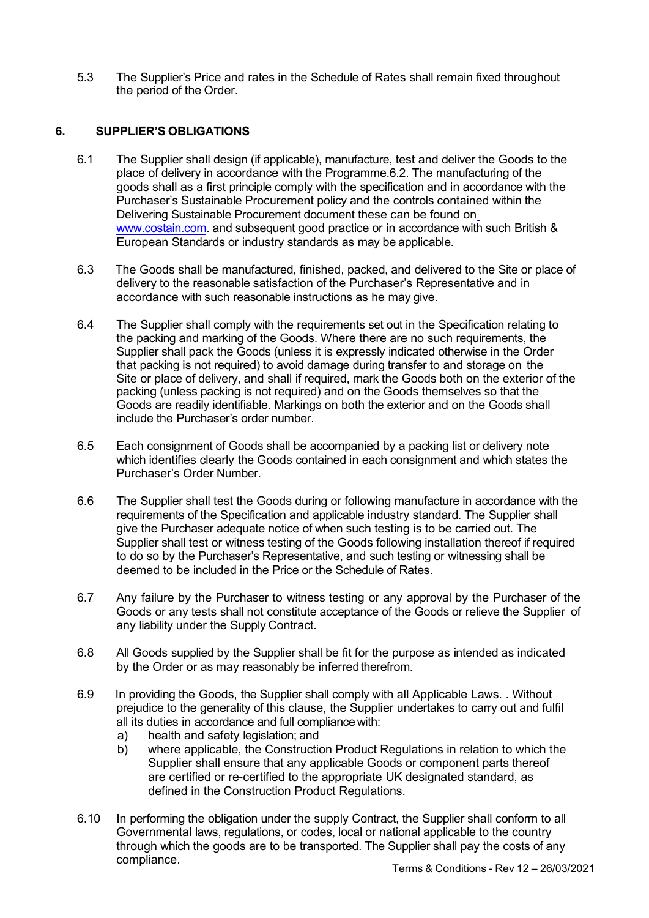5.3 The Supplier's Price and rates in the Schedule of Rates shall remain fixed throughout the period of the Order.

# 6. SUPPLIER'S OBLIGATIONS

- 6.1 The Supplier shall design (if applicable), manufacture, test and deliver the Goods to the place of delivery in accordance with the Programme.6.2. The manufacturing of the goods shall as a first principle comply with the specification and in accordance with the Purchaser's Sustainable Procurement policy and the controls contained within the Delivering Sustainable Procurement document these can be found on www.costain.com. and subsequent good practice or in accordance with such British & European Standards or industry standards as may be applicable.
- 6.3 The Goods shall be manufactured, finished, packed, and delivered to the Site or place of delivery to the reasonable satisfaction of the Purchaser's Representative and in accordance with such reasonable instructions as he may give.
- 6.4 The Supplier shall comply with the requirements set out in the Specification relating to the packing and marking of the Goods. Where there are no such requirements, the Supplier shall pack the Goods (unless it is expressly indicated otherwise in the Order that packing is not required) to avoid damage during transfer to and storage on the Site or place of delivery, and shall if required, mark the Goods both on the exterior of the packing (unless packing is not required) and on the Goods themselves so that the Goods are readily identifiable. Markings on both the exterior and on the Goods shall include the Purchaser's order number.
- 6.5 Each consignment of Goods shall be accompanied by a packing list or delivery note which identifies clearly the Goods contained in each consignment and which states the Purchaser's Order Number.
- 6.6 The Supplier shall test the Goods during or following manufacture in accordance with the requirements of the Specification and applicable industry standard. The Supplier shall give the Purchaser adequate notice of when such testing is to be carried out. The Supplier shall test or witness testing of the Goods following installation thereof if required to do so by the Purchaser's Representative, and such testing or witnessing shall be deemed to be included in the Price or the Schedule of Rates.
- 6.7 Any failure by the Purchaser to witness testing or any approval by the Purchaser of the Goods or any tests shall not constitute acceptance of the Goods or relieve the Supplier of any liability under the Supply Contract.
- 6.8 All Goods supplied by the Supplier shall be fit for the purpose as intended as indicated by the Order or as may reasonably be inferred therefrom.
- 6.9 In providing the Goods, the Supplier shall comply with all Applicable Laws. . Without prejudice to the generality of this clause, the Supplier undertakes to carry out and fulfil all its duties in accordance and full compliance with:
	- a) health and safety legislation; and
	- b) where applicable, the Construction Product Regulations in relation to which the Supplier shall ensure that any applicable Goods or component parts thereof are certified or re-certified to the appropriate UK designated standard, as defined in the Construction Product Regulations.
- 6.10 In performing the obligation under the supply Contract, the Supplier shall conform to all Governmental laws, regulations, or codes, local or national applicable to the country through which the goods are to be transported. The Supplier shall pay the costs of any compliance.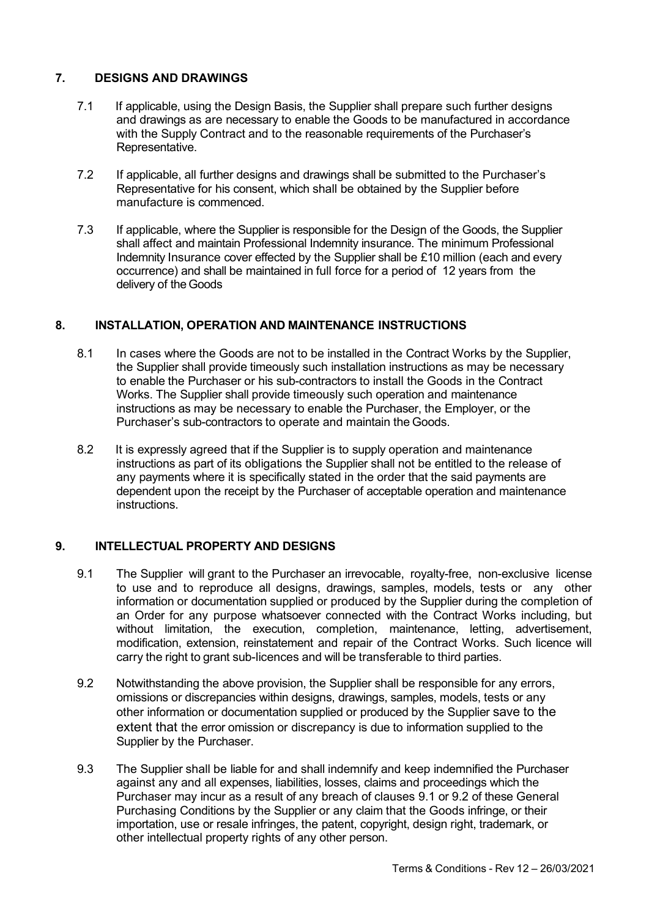# 7. DESIGNS AND DRAWINGS

- 7.1 If applicable, using the Design Basis, the Supplier shall prepare such further designs and drawings as are necessary to enable the Goods to be manufactured in accordance with the Supply Contract and to the reasonable requirements of the Purchaser's Representative.
- 7.2 If applicable, all further designs and drawings shall be submitted to the Purchaser's Representative for his consent, which shall be obtained by the Supplier before manufacture is commenced.
- 7.3 If applicable, where the Supplier is responsible for the Design of the Goods, the Supplier shall affect and maintain Professional Indemnity insurance. The minimum Professional Indemnity Insurance cover effected by the Supplier shall be £10 million (each and every occurrence) and shall be maintained in full force for a period of 12 years from the delivery of the Goods

# 8. INSTALLATION, OPERATION AND MAINTENANCE INSTRUCTIONS

- 8.1 In cases where the Goods are not to be installed in the Contract Works by the Supplier, the Supplier shall provide timeously such installation instructions as may be necessary to enable the Purchaser or his sub-contractors to install the Goods in the Contract Works. The Supplier shall provide timeously such operation and maintenance instructions as may be necessary to enable the Purchaser, the Employer, or the Purchaser's sub-contractors to operate and maintain the Goods.
- 8.2 It is expressly agreed that if the Supplier is to supply operation and maintenance instructions as part of its obligations the Supplier shall not be entitled to the release of any payments where it is specifically stated in the order that the said payments are dependent upon the receipt by the Purchaser of acceptable operation and maintenance instructions.

# 9. INTELLECTUAL PROPERTY AND DESIGNS

- 9.1 The Supplier will grant to the Purchaser an irrevocable, royalty-free, non-exclusive license to use and to reproduce all designs, drawings, samples, models, tests or any other information or documentation supplied or produced by the Supplier during the completion of an Order for any purpose whatsoever connected with the Contract Works including, but without limitation, the execution, completion, maintenance, letting, advertisement, modification, extension, reinstatement and repair of the Contract Works. Such licence will carry the right to grant sub-licences and will be transferable to third parties.
- 9.2 Notwithstanding the above provision, the Supplier shall be responsible for any errors, omissions or discrepancies within designs, drawings, samples, models, tests or any other information or documentation supplied or produced by the Supplier save to the extent that the error omission or discrepancy is due to information supplied to the Supplier by the Purchaser.
- 9.3 The Supplier shall be liable for and shall indemnify and keep indemnified the Purchaser against any and all expenses, liabilities, losses, claims and proceedings which the Purchaser may incur as a result of any breach of clauses 9.1 or 9.2 of these General Purchasing Conditions by the Supplier or any claim that the Goods infringe, or their importation, use or resale infringes, the patent, copyright, design right, trademark, or other intellectual property rights of any other person.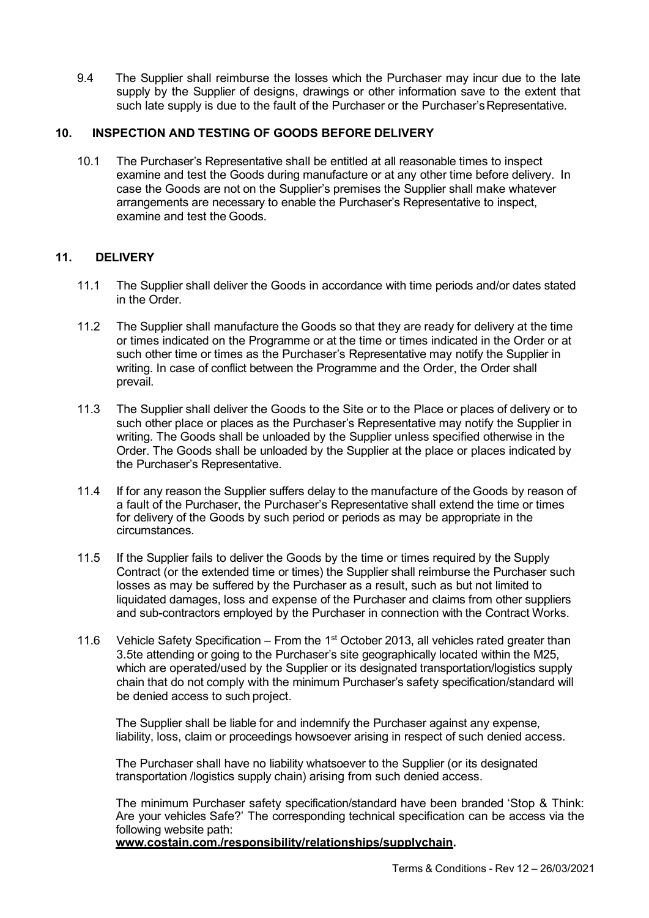9.4 The Supplier shall reimburse the losses which the Purchaser may incur due to the late supply by the Supplier of designs, drawings or other information save to the extent that such late supply is due to the fault of the Purchaser or the Purchaser's Representative.

## 10. INSPECTION AND TESTING OF GOODS BEFORE DELIVERY

10.1 The Purchaser's Representative shall be entitled at all reasonable times to inspect examine and test the Goods during manufacture or at any other time before delivery. In case the Goods are not on the Supplier's premises the Supplier shall make whatever arrangements are necessary to enable the Purchaser's Representative to inspect, examine and test the Goods.

# 11. DELIVERY

- 11.1 The Supplier shall deliver the Goods in accordance with time periods and/or dates stated in the Order.
- 11.2 The Supplier shall manufacture the Goods so that they are ready for delivery at the time or times indicated on the Programme or at the time or times indicated in the Order or at such other time or times as the Purchaser's Representative may notify the Supplier in writing. In case of conflict between the Programme and the Order, the Order shall prevail.
- 11.3 The Supplier shall deliver the Goods to the Site or to the Place or places of delivery or to such other place or places as the Purchaser's Representative may notify the Supplier in writing. The Goods shall be unloaded by the Supplier unless specified otherwise in the Order. The Goods shall be unloaded by the Supplier at the place or places indicated by the Purchaser's Representative.
- 11.4 If for any reason the Supplier suffers delay to the manufacture of the Goods by reason of a fault of the Purchaser, the Purchaser's Representative shall extend the time or times for delivery of the Goods by such period or periods as may be appropriate in the circumstances.
- 11.5 If the Supplier fails to deliver the Goods by the time or times required by the Supply Contract (or the extended time or times) the Supplier shall reimburse the Purchaser such losses as may be suffered by the Purchaser as a result, such as but not limited to liquidated damages, loss and expense of the Purchaser and claims from other suppliers and sub-contractors employed by the Purchaser in connection with the Contract Works.
- 11.6 Vehicle Safety Specification From the  $1<sup>st</sup>$  October 2013, all vehicles rated greater than 3.5te attending or going to the Purchaser's site geographically located within the M25, which are operated/used by the Supplier or its designated transportation/logistics supply chain that do not comply with the minimum Purchaser's safety specification/standard will be denied access to such project.

The Supplier shall be liable for and indemnify the Purchaser against any expense, liability, loss, claim or proceedings howsoever arising in respect of such denied access.

The Purchaser shall have no liability whatsoever to the Supplier (or its designated transportation /logistics supply chain) arising from such denied access.

The minimum Purchaser safety specification/standard have been branded 'Stop & Think: Are your vehicles Safe?' The corresponding technical specification can be access via the following website path:

www.costain.com./responsibility/relationships/supplychain.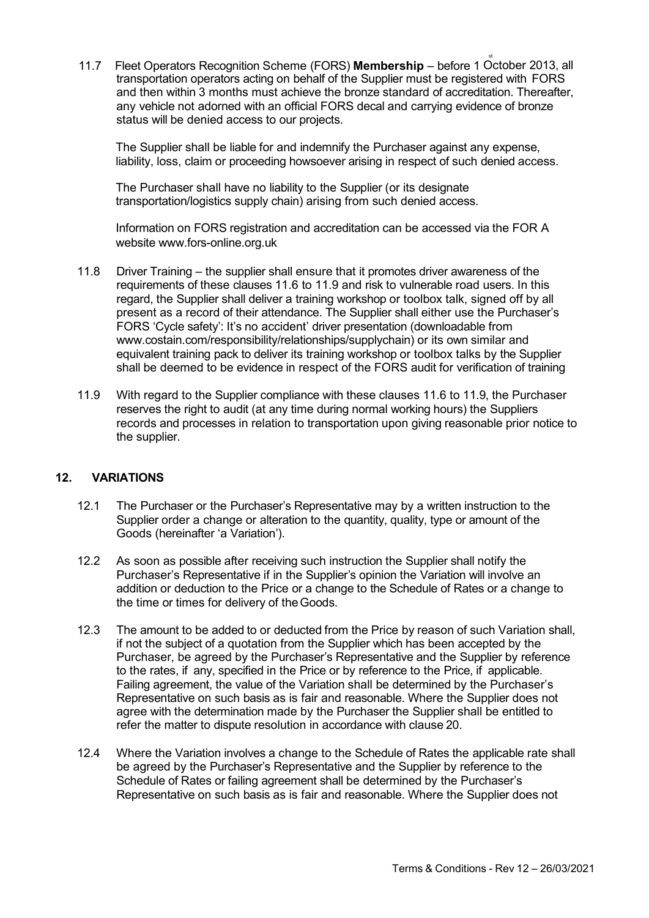11.7 Fleet Operators Recognition Scheme (FORS) Membership – before 1 October 2013, all transportation operators acting on behalf of the Supplier must be registered with FORS and then within 3 months must achieve the bronze standard of accreditation. Thereafter, any vehicle not adorned with an official FORS decal and carrying evidence of bronze status will be denied access to our projects.

The Supplier shall be liable for and indemnify the Purchaser against any expense, liability, loss, claim or proceeding howsoever arising in respect of such denied access.

The Purchaser shall have no liability to the Supplier (or its designate transportation/logistics supply chain) arising from such denied access.

Information on FORS registration and accreditation can be accessed via the FOR A website www.fors-online.org.uk

- 11.8 Driver Training the supplier shall ensure that it promotes driver awareness of the requirements of these clauses 11.6 to 11.9 and risk to vulnerable road users. In this regard, the Supplier shall deliver a training workshop or toolbox talk, signed off by all present as a record of their attendance. The Supplier shall either use the Purchaser's FORS 'Cycle safety': It's no accident' driver presentation (downloadable from www.costain.com/responsibility/relationships/supplychain) or its own similar and equivalent training pack to deliver its training workshop or toolbox talks by the Supplier shall be deemed to be evidence in respect of the FORS audit for verification of training
- 11.9 With regard to the Supplier compliance with these clauses 11.6 to 11.9, the Purchaser reserves the right to audit (at any time during normal working hours) the Suppliers records and processes in relation to transportation upon giving reasonable prior notice to the supplier.

# 12. VARIATIONS

- 12.1 The Purchaser or the Purchaser's Representative may by a written instruction to the Supplier order a change or alteration to the quantity, quality, type or amount of the Goods (hereinafter 'a Variation').
- 12.2 As soon as possible after receiving such instruction the Supplier shall notify the Purchaser's Representative if in the Supplier's opinion the Variation will involve an addition or deduction to the Price or a change to the Schedule of Rates or a change to the time or times for delivery of the Goods.
- 12.3 The amount to be added to or deducted from the Price by reason of such Variation shall, if not the subject of a quotation from the Supplier which has been accepted by the Purchaser, be agreed by the Purchaser's Representative and the Supplier by reference to the rates, if any, specified in the Price or by reference to the Price, if applicable. Failing agreement, the value of the Variation shall be determined by the Purchaser's Representative on such basis as is fair and reasonable. Where the Supplier does not agree with the determination made by the Purchaser the Supplier shall be entitled to refer the matter to dispute resolution in accordance with clause 20.
- 12.4 Where the Variation involves a change to the Schedule of Rates the applicable rate shall be agreed by the Purchaser's Representative and the Supplier by reference to the Schedule of Rates or failing agreement shall be determined by the Purchaser's Representative on such basis as is fair and reasonable. Where the Supplier does not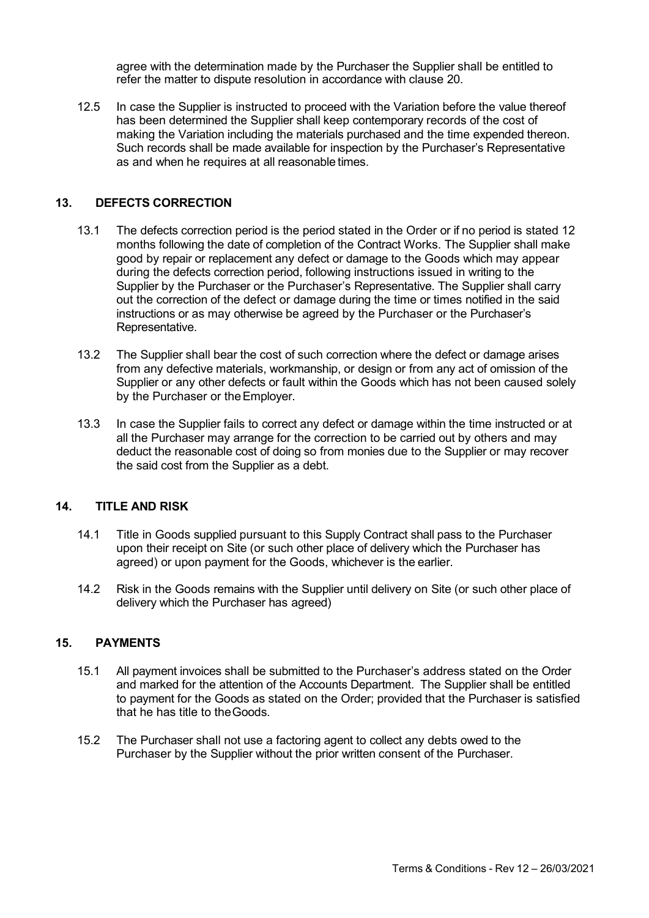agree with the determination made by the Purchaser the Supplier shall be entitled to refer the matter to dispute resolution in accordance with clause 20.

12.5 In case the Supplier is instructed to proceed with the Variation before the value thereof has been determined the Supplier shall keep contemporary records of the cost of making the Variation including the materials purchased and the time expended thereon. Such records shall be made available for inspection by the Purchaser's Representative as and when he requires at all reasonable times.

## 13. DEFECTS CORRECTION

- 13.1 The defects correction period is the period stated in the Order or if no period is stated 12 months following the date of completion of the Contract Works. The Supplier shall make good by repair or replacement any defect or damage to the Goods which may appear during the defects correction period, following instructions issued in writing to the Supplier by the Purchaser or the Purchaser's Representative. The Supplier shall carry out the correction of the defect or damage during the time or times notified in the said instructions or as may otherwise be agreed by the Purchaser or the Purchaser's Representative.
- 13.2 The Supplier shall bear the cost of such correction where the defect or damage arises from any defective materials, workmanship, or design or from any act of omission of the Supplier or any other defects or fault within the Goods which has not been caused solely by the Purchaser or the Employer.
- 13.3 In case the Supplier fails to correct any defect or damage within the time instructed or at all the Purchaser may arrange for the correction to be carried out by others and may deduct the reasonable cost of doing so from monies due to the Supplier or may recover the said cost from the Supplier as a debt.

### 14. TITLE AND RISK

- 14.1 Title in Goods supplied pursuant to this Supply Contract shall pass to the Purchaser upon their receipt on Site (or such other place of delivery which the Purchaser has agreed) or upon payment for the Goods, whichever is the earlier.
- 14.2 Risk in the Goods remains with the Supplier until delivery on Site (or such other place of delivery which the Purchaser has agreed)

# 15. PAYMENTS

- 15.1 All payment invoices shall be submitted to the Purchaser's address stated on the Order and marked for the attention of the Accounts Department. The Supplier shall be entitled to payment for the Goods as stated on the Order; provided that the Purchaser is satisfied that he has title to the Goods.
- 15.2 The Purchaser shall not use a factoring agent to collect any debts owed to the Purchaser by the Supplier without the prior written consent of the Purchaser.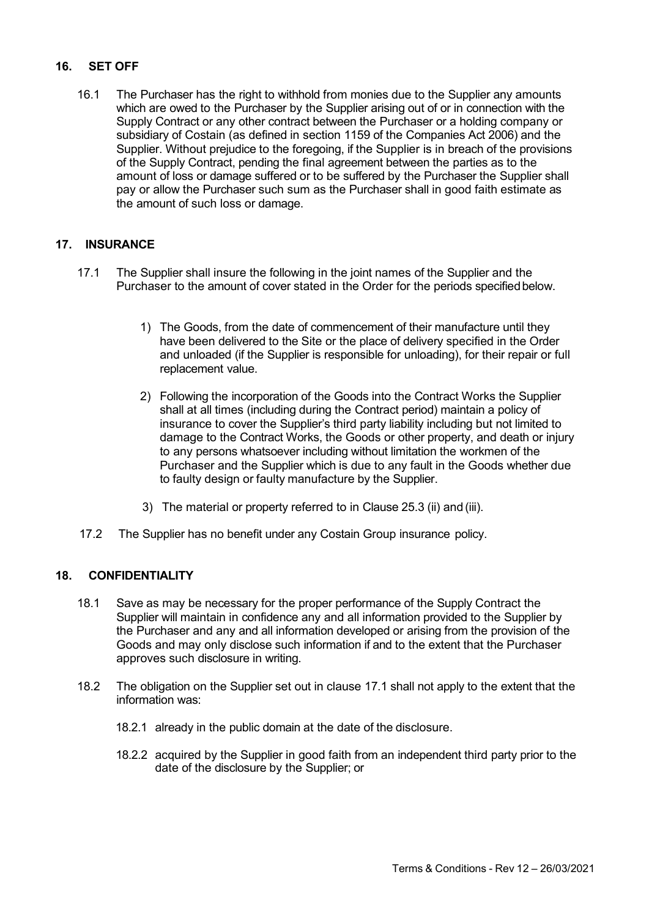# 16. SET OFF

16.1 The Purchaser has the right to withhold from monies due to the Supplier any amounts which are owed to the Purchaser by the Supplier arising out of or in connection with the Supply Contract or any other contract between the Purchaser or a holding company or subsidiary of Costain (as defined in section 1159 of the Companies Act 2006) and the Supplier. Without prejudice to the foregoing, if the Supplier is in breach of the provisions of the Supply Contract, pending the final agreement between the parties as to the amount of loss or damage suffered or to be suffered by the Purchaser the Supplier shall pay or allow the Purchaser such sum as the Purchaser shall in good faith estimate as the amount of such loss or damage.

# 17. INSURANCE

- 17.1 The Supplier shall insure the following in the joint names of the Supplier and the Purchaser to the amount of cover stated in the Order for the periods specified below.
	- 1) The Goods, from the date of commencement of their manufacture until they have been delivered to the Site or the place of delivery specified in the Order and unloaded (if the Supplier is responsible for unloading), for their repair or full replacement value.
	- 2) Following the incorporation of the Goods into the Contract Works the Supplier shall at all times (including during the Contract period) maintain a policy of insurance to cover the Supplier's third party liability including but not limited to damage to the Contract Works, the Goods or other property, and death or injury to any persons whatsoever including without limitation the workmen of the Purchaser and the Supplier which is due to any fault in the Goods whether due to faulty design or faulty manufacture by the Supplier.
	- 3) The material or property referred to in Clause 25.3 (ii) and (iii).
- 17.2 The Supplier has no benefit under any Costain Group insurance policy.

# 18. CONFIDENTIALITY

- 18.1 Save as may be necessary for the proper performance of the Supply Contract the Supplier will maintain in confidence any and all information provided to the Supplier by the Purchaser and any and all information developed or arising from the provision of the Goods and may only disclose such information if and to the extent that the Purchaser approves such disclosure in writing.
- 18.2 The obligation on the Supplier set out in clause 17.1 shall not apply to the extent that the information was:
	- 18.2.1 already in the public domain at the date of the disclosure.
	- 18.2.2 acquired by the Supplier in good faith from an independent third party prior to the date of the disclosure by the Supplier; or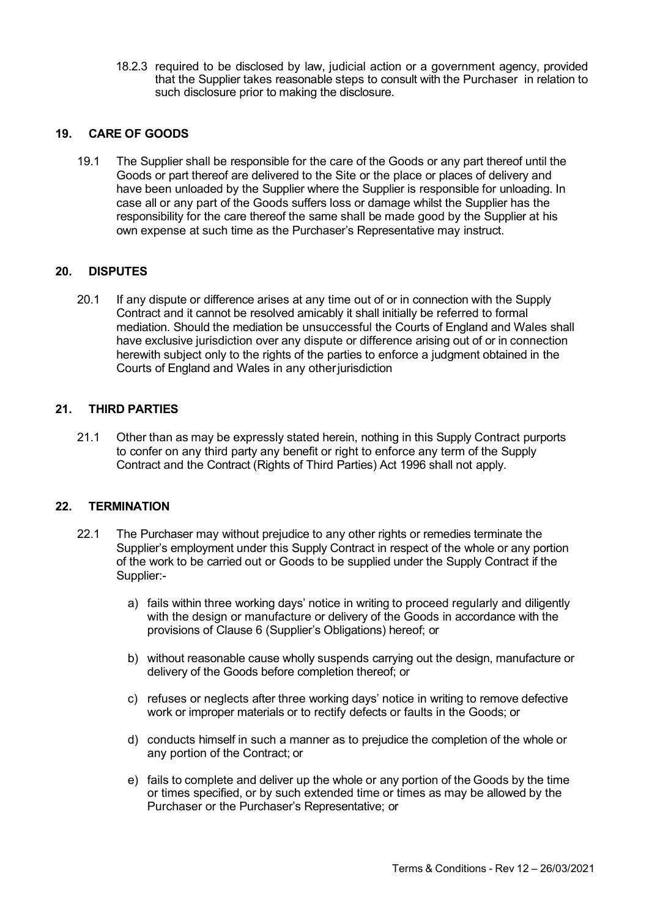18.2.3 required to be disclosed by law, judicial action or a government agency, provided that the Supplier takes reasonable steps to consult with the Purchaser in relation to such disclosure prior to making the disclosure.

## 19. CARE OF GOODS

19.1 The Supplier shall be responsible for the care of the Goods or any part thereof until the Goods or part thereof are delivered to the Site or the place or places of delivery and have been unloaded by the Supplier where the Supplier is responsible for unloading. In case all or any part of the Goods suffers loss or damage whilst the Supplier has the responsibility for the care thereof the same shall be made good by the Supplier at his own expense at such time as the Purchaser's Representative may instruct.

### 20. DISPUTES

20.1 If any dispute or difference arises at any time out of or in connection with the Supply Contract and it cannot be resolved amicably it shall initially be referred to formal mediation. Should the mediation be unsuccessful the Courts of England and Wales shall have exclusive jurisdiction over any dispute or difference arising out of or in connection herewith subject only to the rights of the parties to enforce a judgment obtained in the Courts of England and Wales in any other jurisdiction

## 21. THIRD PARTIES

21.1 Other than as may be expressly stated herein, nothing in this Supply Contract purports to confer on any third party any benefit or right to enforce any term of the Supply Contract and the Contract (Rights of Third Parties) Act 1996 shall not apply.

#### 22. TERMINATION

- 22.1 The Purchaser may without prejudice to any other rights or remedies terminate the Supplier's employment under this Supply Contract in respect of the whole or any portion of the work to be carried out or Goods to be supplied under the Supply Contract if the Supplier:
	- a) fails within three working days' notice in writing to proceed regularly and diligently with the design or manufacture or delivery of the Goods in accordance with the provisions of Clause 6 (Supplier's Obligations) hereof; or
	- b) without reasonable cause wholly suspends carrying out the design, manufacture or delivery of the Goods before completion thereof; or
	- c) refuses or neglects after three working days' notice in writing to remove defective work or improper materials or to rectify defects or faults in the Goods; or
	- d) conducts himself in such a manner as to prejudice the completion of the whole or any portion of the Contract; or
	- e) fails to complete and deliver up the whole or any portion of the Goods by the time or times specified, or by such extended time or times as may be allowed by the Purchaser or the Purchaser's Representative; or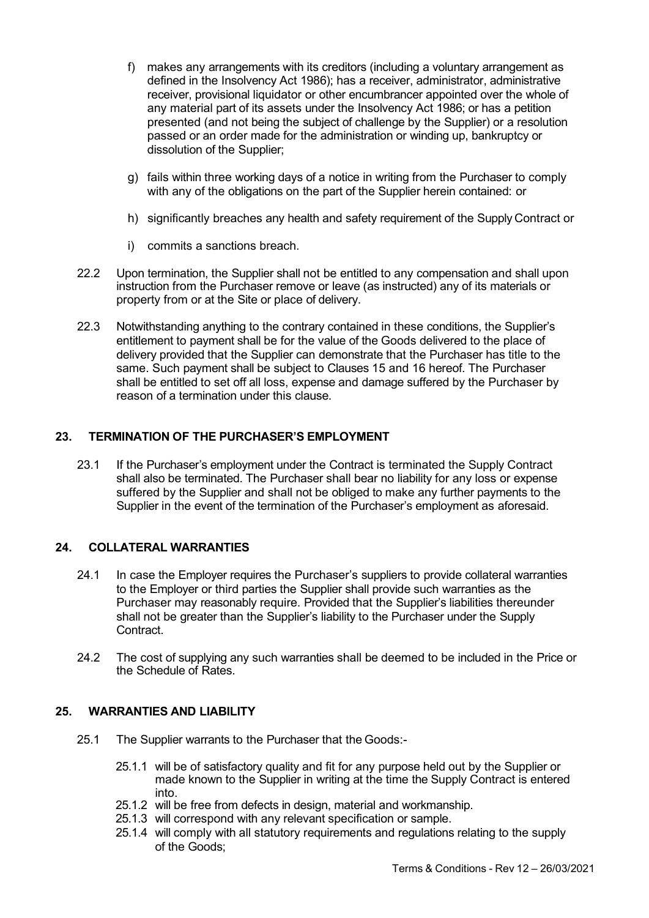- f) makes any arrangements with its creditors (including a voluntary arrangement as defined in the Insolvency Act 1986); has a receiver, administrator, administrative receiver, provisional liquidator or other encumbrancer appointed over the whole of any material part of its assets under the Insolvency Act 1986; or has a petition presented (and not being the subject of challenge by the Supplier) or a resolution passed or an order made for the administration or winding up, bankruptcy or dissolution of the Supplier;
- g) fails within three working days of a notice in writing from the Purchaser to comply with any of the obligations on the part of the Supplier herein contained: or
- h) significantly breaches any health and safety requirement of the Supply Contract or
- i) commits a sanctions breach.
- 22.2 Upon termination, the Supplier shall not be entitled to any compensation and shall upon instruction from the Purchaser remove or leave (as instructed) any of its materials or property from or at the Site or place of delivery.
- 22.3 Notwithstanding anything to the contrary contained in these conditions, the Supplier's entitlement to payment shall be for the value of the Goods delivered to the place of delivery provided that the Supplier can demonstrate that the Purchaser has title to the same. Such payment shall be subject to Clauses 15 and 16 hereof. The Purchaser shall be entitled to set off all loss, expense and damage suffered by the Purchaser by reason of a termination under this clause.

## 23. TERMINATION OF THE PURCHASER'S EMPLOYMENT

23.1 If the Purchaser's employment under the Contract is terminated the Supply Contract shall also be terminated. The Purchaser shall bear no liability for any loss or expense suffered by the Supplier and shall not be obliged to make any further payments to the Supplier in the event of the termination of the Purchaser's employment as aforesaid.

# 24. COLLATERAL WARRANTIES

- 24.1 In case the Employer requires the Purchaser's suppliers to provide collateral warranties to the Employer or third parties the Supplier shall provide such warranties as the Purchaser may reasonably require. Provided that the Supplier's liabilities thereunder shall not be greater than the Supplier's liability to the Purchaser under the Supply **Contract**
- 24.2 The cost of supplying any such warranties shall be deemed to be included in the Price or the Schedule of Rates.

### 25. WARRANTIES AND LIABILITY

- 25.1 The Supplier warrants to the Purchaser that the Goods:-
	- 25.1.1 will be of satisfactory quality and fit for any purpose held out by the Supplier or made known to the Supplier in writing at the time the Supply Contract is entered into.
	- 25.1.2 will be free from defects in design, material and workmanship.
	- 25.1.3 will correspond with any relevant specification or sample.
	- 25.1.4 will comply with all statutory requirements and regulations relating to the supply of the Goods;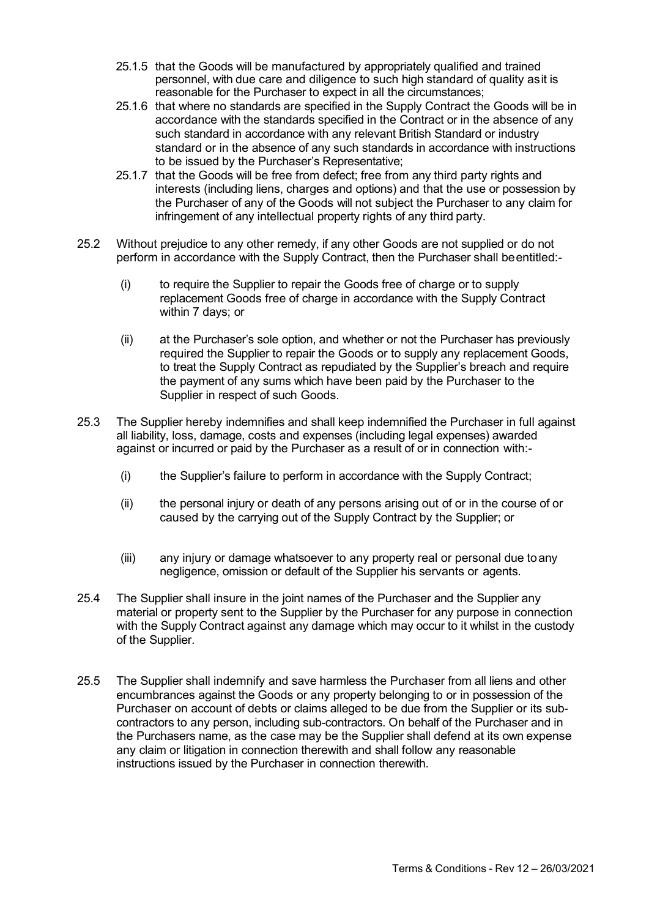- 25.1.5 that the Goods will be manufactured by appropriately qualified and trained personnel, with due care and diligence to such high standard of quality as it is reasonable for the Purchaser to expect in all the circumstances;
- 25.1.6 that where no standards are specified in the Supply Contract the Goods will be in accordance with the standards specified in the Contract or in the absence of any such standard in accordance with any relevant British Standard or industry standard or in the absence of any such standards in accordance with instructions to be issued by the Purchaser's Representative;
- 25.1.7 that the Goods will be free from defect; free from any third party rights and interests (including liens, charges and options) and that the use or possession by the Purchaser of any of the Goods will not subject the Purchaser to any claim for infringement of any intellectual property rights of any third party.
- 25.2 Without prejudice to any other remedy, if any other Goods are not supplied or do not perform in accordance with the Supply Contract, then the Purchaser shall be entitled:-
	- (i) to require the Supplier to repair the Goods free of charge or to supply replacement Goods free of charge in accordance with the Supply Contract within 7 days; or
	- (ii) at the Purchaser's sole option, and whether or not the Purchaser has previously required the Supplier to repair the Goods or to supply any replacement Goods, to treat the Supply Contract as repudiated by the Supplier's breach and require the payment of any sums which have been paid by the Purchaser to the Supplier in respect of such Goods.
- 25.3 The Supplier hereby indemnifies and shall keep indemnified the Purchaser in full against all liability, loss, damage, costs and expenses (including legal expenses) awarded against or incurred or paid by the Purchaser as a result of or in connection with:-
	- (i) the Supplier's failure to perform in accordance with the Supply Contract;
	- (ii) the personal injury or death of any persons arising out of or in the course of or caused by the carrying out of the Supply Contract by the Supplier; or
	- (iii) any injury or damage whatsoever to any property real or personal due to any negligence, omission or default of the Supplier his servants or agents.
- 25.4 The Supplier shall insure in the joint names of the Purchaser and the Supplier any material or property sent to the Supplier by the Purchaser for any purpose in connection with the Supply Contract against any damage which may occur to it whilst in the custody of the Supplier.
- 25.5 The Supplier shall indemnify and save harmless the Purchaser from all liens and other encumbrances against the Goods or any property belonging to or in possession of the Purchaser on account of debts or claims alleged to be due from the Supplier or its subcontractors to any person, including sub-contractors. On behalf of the Purchaser and in the Purchasers name, as the case may be the Supplier shall defend at its own expense any claim or litigation in connection therewith and shall follow any reasonable instructions issued by the Purchaser in connection therewith.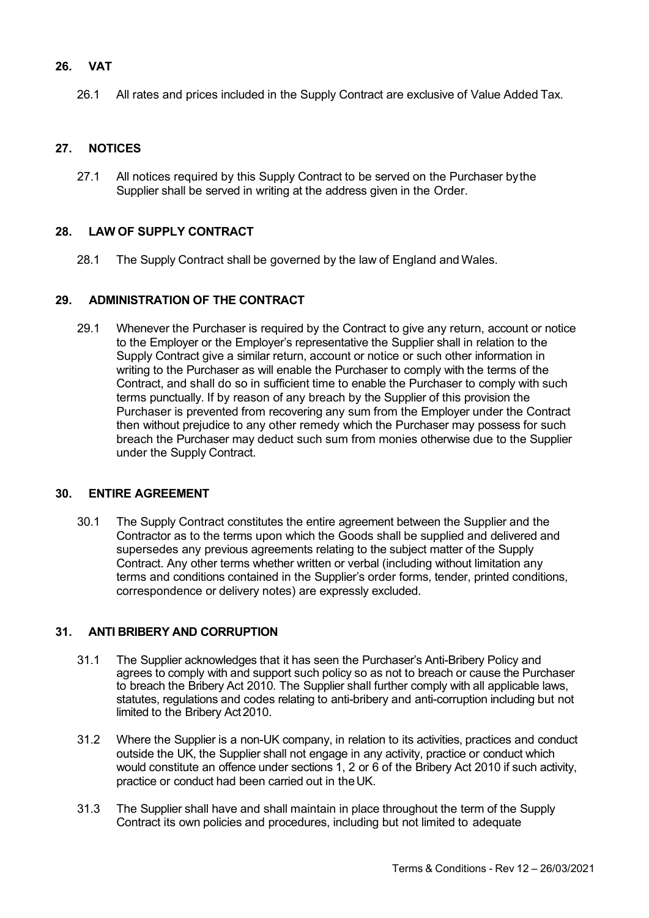# 26. VAT

26.1 All rates and prices included in the Supply Contract are exclusive of Value Added Tax.

# 27. NOTICES

27.1 All notices required by this Supply Contract to be served on the Purchaser by the Supplier shall be served in writing at the address given in the Order.

### 28. LAW OF SUPPLY CONTRACT

28.1 The Supply Contract shall be governed by the law of England and Wales.

### 29. ADMINISTRATION OF THE CONTRACT

29.1 Whenever the Purchaser is required by the Contract to give any return, account or notice to the Employer or the Employer's representative the Supplier shall in relation to the Supply Contract give a similar return, account or notice or such other information in writing to the Purchaser as will enable the Purchaser to comply with the terms of the Contract, and shall do so in sufficient time to enable the Purchaser to comply with such terms punctually. If by reason of any breach by the Supplier of this provision the Purchaser is prevented from recovering any sum from the Employer under the Contract then without prejudice to any other remedy which the Purchaser may possess for such breach the Purchaser may deduct such sum from monies otherwise due to the Supplier under the Supply Contract.

#### 30. ENTIRE AGREEMENT

30.1 The Supply Contract constitutes the entire agreement between the Supplier and the Contractor as to the terms upon which the Goods shall be supplied and delivered and supersedes any previous agreements relating to the subject matter of the Supply Contract. Any other terms whether written or verbal (including without limitation any terms and conditions contained in the Supplier's order forms, tender, printed conditions, correspondence or delivery notes) are expressly excluded.

### 31. ANTI BRIBERY AND CORRUPTION

- 31.1 The Supplier acknowledges that it has seen the Purchaser's Anti-Bribery Policy and agrees to comply with and support such policy so as not to breach or cause the Purchaser to breach the Bribery Act 2010. The Supplier shall further comply with all applicable laws. statutes, regulations and codes relating to anti-bribery and anti-corruption including but not limited to the Bribery Act 2010.
- 31.2 Where the Supplier is a non-UK company, in relation to its activities, practices and conduct outside the UK, the Supplier shall not engage in any activity, practice or conduct which would constitute an offence under sections 1, 2 or 6 of the Bribery Act 2010 if such activity, practice or conduct had been carried out in the UK.
- 31.3 The Supplier shall have and shall maintain in place throughout the term of the Supply Contract its own policies and procedures, including but not limited to adequate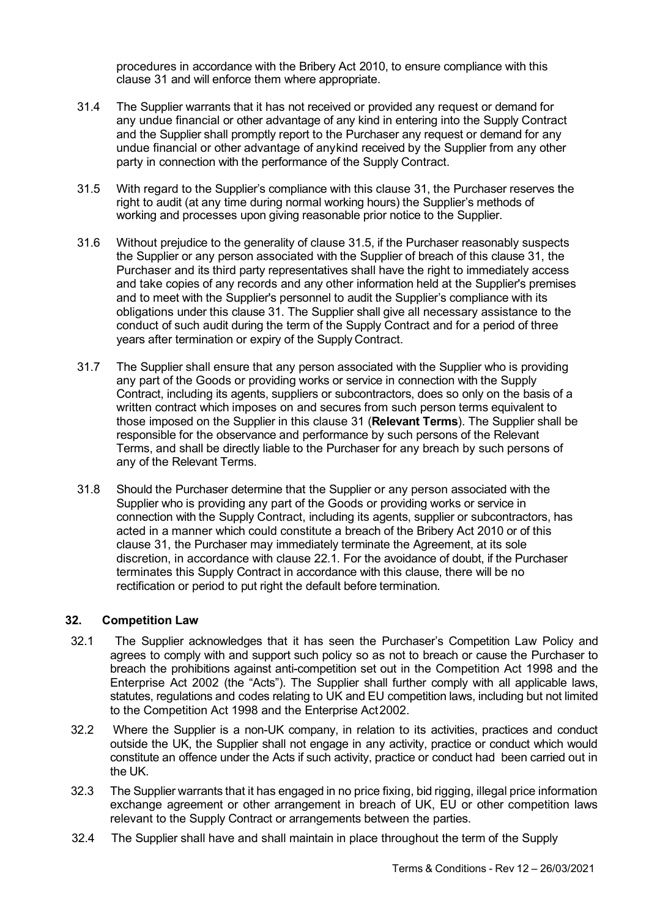procedures in accordance with the Bribery Act 2010, to ensure compliance with this clause 31 and will enforce them where appropriate.

- 31.4 The Supplier warrants that it has not received or provided any request or demand for any undue financial or other advantage of any kind in entering into the Supply Contract and the Supplier shall promptly report to the Purchaser any request or demand for any undue financial or other advantage of any kind received by the Supplier from any other party in connection with the performance of the Supply Contract.
- 31.5 With regard to the Supplier's compliance with this clause 31, the Purchaser reserves the right to audit (at any time during normal working hours) the Supplier's methods of working and processes upon giving reasonable prior notice to the Supplier.
- 31.6 Without prejudice to the generality of clause 31.5, if the Purchaser reasonably suspects the Supplier or any person associated with the Supplier of breach of this clause 31, the Purchaser and its third party representatives shall have the right to immediately access and take copies of any records and any other information held at the Supplier's premises and to meet with the Supplier's personnel to audit the Supplier's compliance with its obligations under this clause 31. The Supplier shall give all necessary assistance to the conduct of such audit during the term of the Supply Contract and for a period of three years after termination or expiry of the Supply Contract.
- 31.7 The Supplier shall ensure that any person associated with the Supplier who is providing any part of the Goods or providing works or service in connection with the Supply Contract, including its agents, suppliers or subcontractors, does so only on the basis of a written contract which imposes on and secures from such person terms equivalent to those imposed on the Supplier in this clause 31 (Relevant Terms). The Supplier shall be responsible for the observance and performance by such persons of the Relevant Terms, and shall be directly liable to the Purchaser for any breach by such persons of any of the Relevant Terms.
- 31.8 Should the Purchaser determine that the Supplier or any person associated with the Supplier who is providing any part of the Goods or providing works or service in connection with the Supply Contract, including its agents, supplier or subcontractors, has acted in a manner which could constitute a breach of the Bribery Act 2010 or of this clause 31, the Purchaser may immediately terminate the Agreement, at its sole discretion, in accordance with clause 22.1. For the avoidance of doubt, if the Purchaser terminates this Supply Contract in accordance with this clause, there will be no rectification or period to put right the default before termination.

# 32. Competition Law

- 32.1 The Supplier acknowledges that it has seen the Purchaser's Competition Law Policy and agrees to comply with and support such policy so as not to breach or cause the Purchaser to breach the prohibitions against anti-competition set out in the Competition Act 1998 and the Enterprise Act 2002 (the "Acts"). The Supplier shall further comply with all applicable laws, statutes, regulations and codes relating to UK and EU competition laws, including but not limited to the Competition Act 1998 and the Enterprise Act 2002.
- 32.2 Where the Supplier is a non-UK company, in relation to its activities, practices and conduct outside the UK, the Supplier shall not engage in any activity, practice or conduct which would constitute an offence under the Acts if such activity, practice or conduct had been carried out in the UK.
- 32.3 The Supplier warrants that it has engaged in no price fixing, bid rigging, illegal price information exchange agreement or other arrangement in breach of UK, EU or other competition laws relevant to the Supply Contract or arrangements between the parties.
- 32.4 The Supplier shall have and shall maintain in place throughout the term of the Supply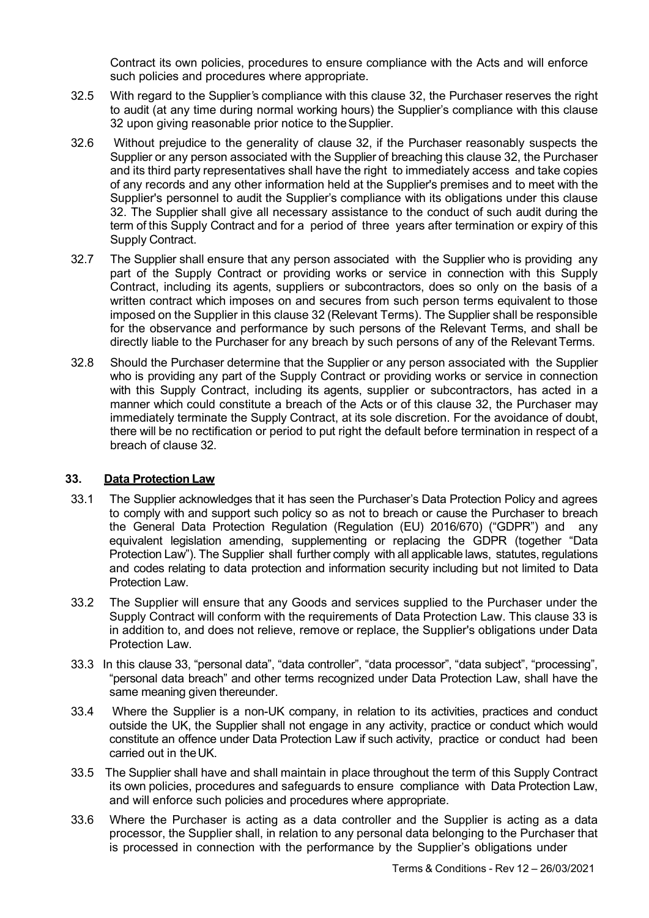Contract its own policies, procedures to ensure compliance with the Acts and will enforce such policies and procedures where appropriate.

- 32.5 With regard to the Supplier's compliance with this clause 32, the Purchaser reserves the right to audit (at any time during normal working hours) the Supplier's compliance with this clause 32 upon giving reasonable prior notice to the Supplier.
- 32.6 Without prejudice to the generality of clause 32, if the Purchaser reasonably suspects the Supplier or any person associated with the Supplier of breaching this clause 32, the Purchaser and its third party representatives shall have the right to immediately access and take copies of any records and any other information held at the Supplier's premises and to meet with the Supplier's personnel to audit the Supplier's compliance with its obligations under this clause 32. The Supplier shall give all necessary assistance to the conduct of such audit during the term of this Supply Contract and for a period of three years after termination or expiry of this Supply Contract.
- 32.7 The Supplier shall ensure that any person associated with the Supplier who is providing any part of the Supply Contract or providing works or service in connection with this Supply Contract, including its agents, suppliers or subcontractors, does so only on the basis of a written contract which imposes on and secures from such person terms equivalent to those imposed on the Supplier in this clause 32 (Relevant Terms). The Supplier shall be responsible for the observance and performance by such persons of the Relevant Terms, and shall be directly liable to the Purchaser for any breach by such persons of any of the Relevant Terms.
- 32.8 Should the Purchaser determine that the Supplier or any person associated with the Supplier who is providing any part of the Supply Contract or providing works or service in connection with this Supply Contract, including its agents, supplier or subcontractors, has acted in a manner which could constitute a breach of the Acts or of this clause 32, the Purchaser may immediately terminate the Supply Contract, at its sole discretion. For the avoidance of doubt, there will be no rectification or period to put right the default before termination in respect of a breach of clause 32.

# 33. Data Protection Law

- 33.1 The Supplier acknowledges that it has seen the Purchaser's Data Protection Policy and agrees to comply with and support such policy so as not to breach or cause the Purchaser to breach the General Data Protection Regulation (Regulation (EU) 2016/670) ("GDPR") and any equivalent legislation amending, supplementing or replacing the GDPR (together "Data Protection Law"). The Supplier shall further comply with all applicable laws, statutes, regulations and codes relating to data protection and information security including but not limited to Data Protection Law
- 33.2 The Supplier will ensure that any Goods and services supplied to the Purchaser under the Supply Contract will conform with the requirements of Data Protection Law. This clause 33 is in addition to, and does not relieve, remove or replace, the Supplier's obligations under Data Protection Law.
- 33.3 In this clause 33, "personal data", "data controller", "data processor", "data subject", "processing", "personal data breach" and other terms recognized under Data Protection Law, shall have the same meaning given thereunder.
- 33.4 Where the Supplier is a non-UK company, in relation to its activities, practices and conduct outside the UK, the Supplier shall not engage in any activity, practice or conduct which would constitute an offence under Data Protection Law if such activity, practice or conduct had been carried out in the UK.
- 33.5 The Supplier shall have and shall maintain in place throughout the term of this Supply Contract its own policies, procedures and safeguards to ensure compliance with Data Protection Law, and will enforce such policies and procedures where appropriate.
- 33.6 Where the Purchaser is acting as a data controller and the Supplier is acting as a data processor, the Supplier shall, in relation to any personal data belonging to the Purchaser that is processed in connection with the performance by the Supplier's obligations under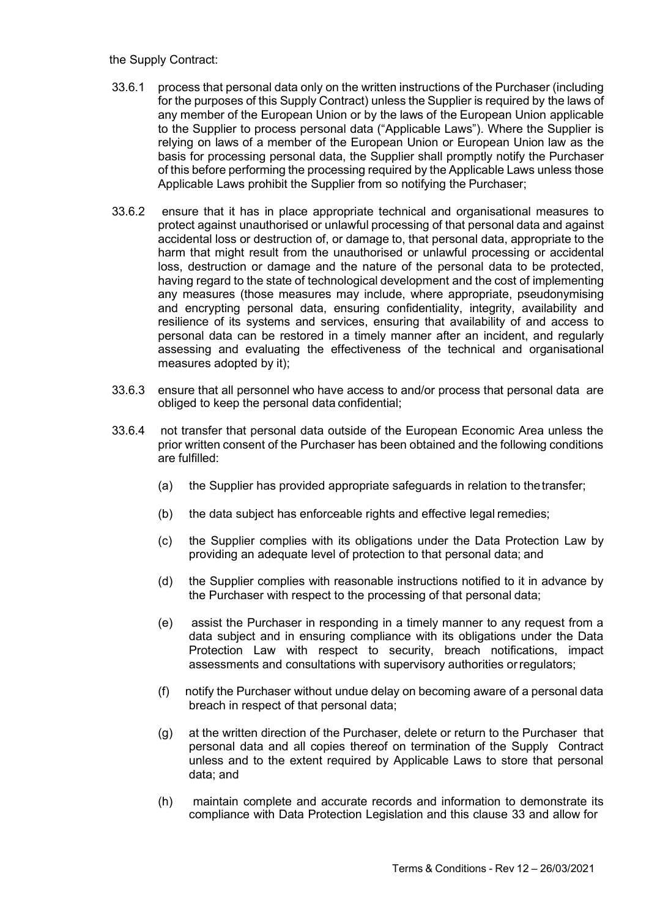### the Supply Contract:

- 33.6.1 process that personal data only on the written instructions of the Purchaser (including for the purposes of this Supply Contract) unless the Supplier is required by the laws of any member of the European Union or by the laws of the European Union applicable to the Supplier to process personal data ("Applicable Laws"). Where the Supplier is relying on laws of a member of the European Union or European Union law as the basis for processing personal data, the Supplier shall promptly notify the Purchaser of this before performing the processing required by the Applicable Laws unless those Applicable Laws prohibit the Supplier from so notifying the Purchaser;
- 33.6.2 ensure that it has in place appropriate technical and organisational measures to protect against unauthorised or unlawful processing of that personal data and against accidental loss or destruction of, or damage to, that personal data, appropriate to the harm that might result from the unauthorised or unlawful processing or accidental loss, destruction or damage and the nature of the personal data to be protected, having regard to the state of technological development and the cost of implementing any measures (those measures may include, where appropriate, pseudonymising and encrypting personal data, ensuring confidentiality, integrity, availability and resilience of its systems and services, ensuring that availability of and access to personal data can be restored in a timely manner after an incident, and regularly assessing and evaluating the effectiveness of the technical and organisational measures adopted by it);
- 33.6.3 ensure that all personnel who have access to and/or process that personal data are obliged to keep the personal data confidential;
- 33.6.4 not transfer that personal data outside of the European Economic Area unless the prior written consent of the Purchaser has been obtained and the following conditions are fulfilled:
	- (a) the Supplier has provided appropriate safeguards in relation to the transfer;
	- (b) the data subject has enforceable rights and effective legal remedies;
	- (c) the Supplier complies with its obligations under the Data Protection Law by providing an adequate level of protection to that personal data; and
	- (d) the Supplier complies with reasonable instructions notified to it in advance by the Purchaser with respect to the processing of that personal data;
	- (e) assist the Purchaser in responding in a timely manner to any request from a data subject and in ensuring compliance with its obligations under the Data Protection Law with respect to security, breach notifications, impact assessments and consultations with supervisory authorities or regulators;
	- (f) notify the Purchaser without undue delay on becoming aware of a personal data breach in respect of that personal data;
	- (g) at the written direction of the Purchaser, delete or return to the Purchaser that personal data and all copies thereof on termination of the Supply Contract unless and to the extent required by Applicable Laws to store that personal data; and
	- (h) maintain complete and accurate records and information to demonstrate its compliance with Data Protection Legislation and this clause 33 and allow for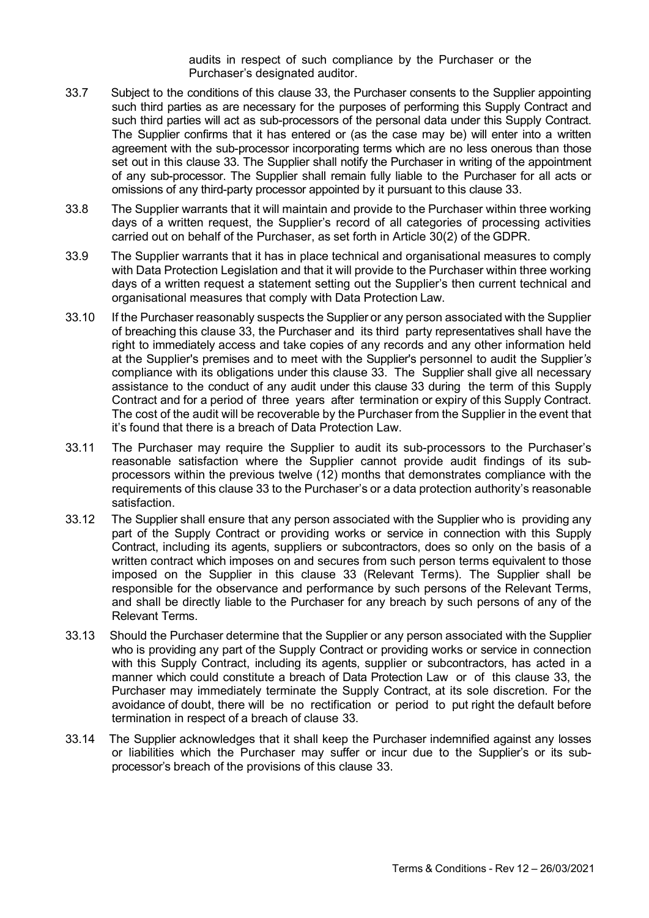audits in respect of such compliance by the Purchaser or the Purchaser's designated auditor.

- 33.7 Subject to the conditions of this clause 33, the Purchaser consents to the Supplier appointing such third parties as are necessary for the purposes of performing this Supply Contract and such third parties will act as sub-processors of the personal data under this Supply Contract. The Supplier confirms that it has entered or (as the case may be) will enter into a written agreement with the sub-processor incorporating terms which are no less onerous than those set out in this clause 33. The Supplier shall notify the Purchaser in writing of the appointment of any sub-processor. The Supplier shall remain fully liable to the Purchaser for all acts or omissions of any third-party processor appointed by it pursuant to this clause 33.
- 33.8 The Supplier warrants that it will maintain and provide to the Purchaser within three working days of a written request, the Supplier's record of all categories of processing activities carried out on behalf of the Purchaser, as set forth in Article 30(2) of the GDPR.
- 33.9 The Supplier warrants that it has in place technical and organisational measures to comply with Data Protection Legislation and that it will provide to the Purchaser within three working days of a written request a statement setting out the Supplier's then current technical and organisational measures that comply with Data Protection Law.
- 33.10 If the Purchaser reasonably suspects the Supplier or any person associated with the Supplier of breaching this clause 33, the Purchaser and its third party representatives shall have the right to immediately access and take copies of any records and any other information held at the Supplier's premises and to meet with the Supplier's personnel to audit the Supplier's compliance with its obligations under this clause 33. The Supplier shall give all necessary assistance to the conduct of any audit under this clause 33 during the term of this Supply Contract and for a period of three years after termination or expiry of this Supply Contract. The cost of the audit will be recoverable by the Purchaser from the Supplier in the event that it's found that there is a breach of Data Protection Law.
- 33.11 The Purchaser may require the Supplier to audit its sub-processors to the Purchaser's reasonable satisfaction where the Supplier cannot provide audit findings of its subprocessors within the previous twelve (12) months that demonstrates compliance with the requirements of this clause 33 to the Purchaser's or a data protection authority's reasonable satisfaction.
- 33.12 The Supplier shall ensure that any person associated with the Supplier who is providing any part of the Supply Contract or providing works or service in connection with this Supply Contract, including its agents, suppliers or subcontractors, does so only on the basis of a written contract which imposes on and secures from such person terms equivalent to those imposed on the Supplier in this clause 33 (Relevant Terms). The Supplier shall be responsible for the observance and performance by such persons of the Relevant Terms, and shall be directly liable to the Purchaser for any breach by such persons of any of the Relevant Terms.
- 33.13 Should the Purchaser determine that the Supplier or any person associated with the Supplier who is providing any part of the Supply Contract or providing works or service in connection with this Supply Contract, including its agents, supplier or subcontractors, has acted in a manner which could constitute a breach of Data Protection Law or of this clause 33, the Purchaser may immediately terminate the Supply Contract, at its sole discretion. For the avoidance of doubt, there will be no rectification or period to put right the default before termination in respect of a breach of clause 33.
- 33.14 The Supplier acknowledges that it shall keep the Purchaser indemnified against any losses or liabilities which the Purchaser may suffer or incur due to the Supplier's or its subprocessor's breach of the provisions of this clause 33.